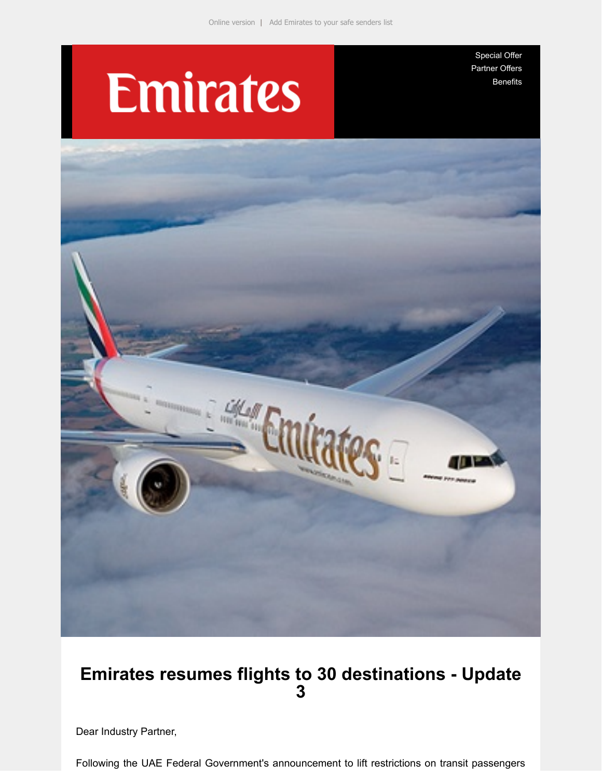# **Emirates**

[Special Offer](https://e.emiratesagents.com/2OIL-11QU6-2BLHTK-NMS51-1/c.aspx) [Partner Offers](https://e.emiratesagents.com/2OIL-11QU6-2BLHTK-NMS52-1/c.aspx) [Benefits](https://e.emiratesagents.com/2OIL-11QU6-2BLHTK-NMS53-1/c.aspx)



# **Emirates resumes flights to 30 destinations - Update 3**

Dear Industry Partner,

Following the UAE Federal Government's announcement to lift restrictions on transit passengers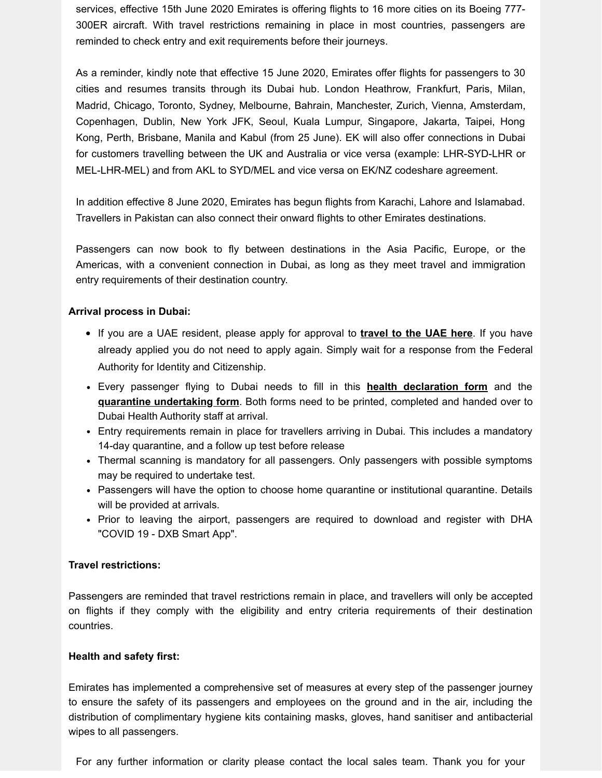services, effective 15th June 2020 Emirates is offering flights to 16 more cities on its Boeing 777- 300ER aircraft. With travel restrictions remaining in place in most countries, passengers are reminded to check entry and exit requirements before their journeys.

As a reminder, kindly note that effective 15 June 2020, Emirates offer flights for passengers to 30 cities and resumes transits through its Dubai hub. London Heathrow, Frankfurt, Paris, Milan, Madrid, Chicago, Toronto, Sydney, Melbourne, Bahrain, Manchester, Zurich, Vienna, Amsterdam, Copenhagen, Dublin, New York JFK, Seoul, Kuala Lumpur, Singapore, Jakarta, Taipei, Hong Kong, Perth, Brisbane, Manila and Kabul (from 25 June). EK will also offer connections in Dubai for customers travelling between the UK and Australia or vice versa (example: LHR-SYD-LHR or MEL-LHR-MEL) and from AKL to SYD/MEL and vice versa on EK/NZ codeshare agreement.

In addition effective 8 June 2020, Emirates has begun flights from Karachi, Lahore and Islamabad. Travellers in Pakistan can also connect their onward flights to other Emirates destinations.

Passengers can now book to fly between destinations in the Asia Pacific, Europe, or the Americas, with a convenient connection in Dubai, as long as they meet travel and immigration entry requirements of their destination country.

## **Arrival process in Dubai:**

- If you are a UAE resident, please apply for approval to **[travel to the UAE here](https://e.emiratesagents.com/2OIL-11QU6-2BLHTK-NMSAK-1/c.aspx)**. If you have already applied you do not need to apply again. Simply wait for a response from the Federal Authority for Identity and Citizenship.
- Every passenger flying to Dubai needs to fill in this **[health declaration form](https://e.emiratesagents.com/2OIL-11QU6-2BLHTK-NMSAL-1/c.aspx)** and the **[quarantine undertaking form](https://e.emiratesagents.com/2OIL-11QU6-2BLHTK-NMSAM-1/c.aspx)**. Both forms need to be printed, completed and handed over to Dubai Health Authority staff at arrival.
- Entry requirements remain in place for travellers arriving in Dubai. This includes a mandatory 14-day quarantine, and a follow up test before release
- Thermal scanning is mandatory for all passengers. Only passengers with possible symptoms may be required to undertake test.
- Passengers will have the option to choose home quarantine or institutional quarantine. Details will be provided at arrivals.
- Prior to leaving the airport, passengers are required to download and register with DHA "COVID 19 - DXB Smart App".

### **Travel restrictions:**

Passengers are reminded that travel restrictions remain in place, and travellers will only be accepted on flights if they comply with the eligibility and entry criteria requirements of their destination countries.

### **Health and safety first:**

Emirates has implemented a comprehensive set of measures at every step of the passenger journey to ensure the safety of its passengers and employees on the ground and in the air, including the distribution of complimentary hygiene kits containing masks, gloves, hand sanitiser and antibacterial wipes to all passengers.

For any further information or clarity please contact the local sales team. Thank you for your